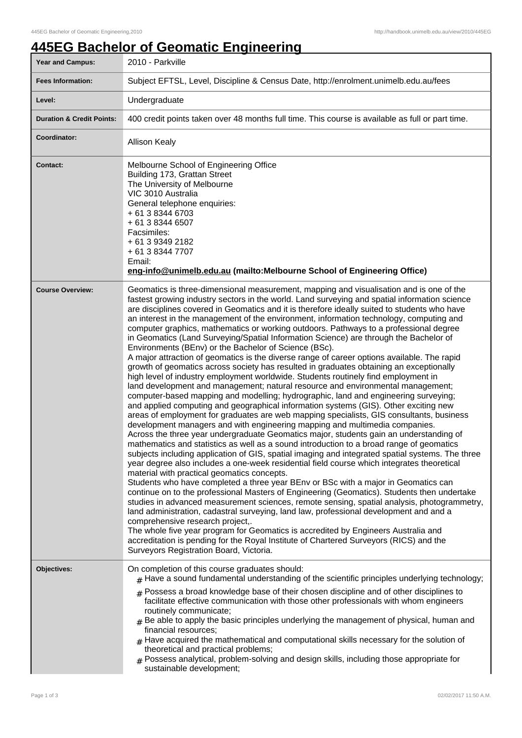## **445EG Bachelor of Geomatic Engineering**

| <b>Year and Campus:</b>              | 2010 - Parkville                                                                                                                                                                                                                                                                                                                                                                                                                                                                                                                                                                                                                                                                                                                                                                                                                                                                                                                                                                                                                                                                                                                                                                                                                                                                                                                                                                                                                                                                                                                                                                                                                                                                                                                                                                                                                                                                                                                                                                                                                                                                                                                                                                                                                                                                                                                                                                                                                                |  |  |
|--------------------------------------|-------------------------------------------------------------------------------------------------------------------------------------------------------------------------------------------------------------------------------------------------------------------------------------------------------------------------------------------------------------------------------------------------------------------------------------------------------------------------------------------------------------------------------------------------------------------------------------------------------------------------------------------------------------------------------------------------------------------------------------------------------------------------------------------------------------------------------------------------------------------------------------------------------------------------------------------------------------------------------------------------------------------------------------------------------------------------------------------------------------------------------------------------------------------------------------------------------------------------------------------------------------------------------------------------------------------------------------------------------------------------------------------------------------------------------------------------------------------------------------------------------------------------------------------------------------------------------------------------------------------------------------------------------------------------------------------------------------------------------------------------------------------------------------------------------------------------------------------------------------------------------------------------------------------------------------------------------------------------------------------------------------------------------------------------------------------------------------------------------------------------------------------------------------------------------------------------------------------------------------------------------------------------------------------------------------------------------------------------------------------------------------------------------------------------------------------------|--|--|
| <b>Fees Information:</b>             | Subject EFTSL, Level, Discipline & Census Date, http://enrolment.unimelb.edu.au/fees                                                                                                                                                                                                                                                                                                                                                                                                                                                                                                                                                                                                                                                                                                                                                                                                                                                                                                                                                                                                                                                                                                                                                                                                                                                                                                                                                                                                                                                                                                                                                                                                                                                                                                                                                                                                                                                                                                                                                                                                                                                                                                                                                                                                                                                                                                                                                            |  |  |
| Level:                               | Undergraduate                                                                                                                                                                                                                                                                                                                                                                                                                                                                                                                                                                                                                                                                                                                                                                                                                                                                                                                                                                                                                                                                                                                                                                                                                                                                                                                                                                                                                                                                                                                                                                                                                                                                                                                                                                                                                                                                                                                                                                                                                                                                                                                                                                                                                                                                                                                                                                                                                                   |  |  |
| <b>Duration &amp; Credit Points:</b> | 400 credit points taken over 48 months full time. This course is available as full or part time.                                                                                                                                                                                                                                                                                                                                                                                                                                                                                                                                                                                                                                                                                                                                                                                                                                                                                                                                                                                                                                                                                                                                                                                                                                                                                                                                                                                                                                                                                                                                                                                                                                                                                                                                                                                                                                                                                                                                                                                                                                                                                                                                                                                                                                                                                                                                                |  |  |
| Coordinator:                         | <b>Allison Kealy</b>                                                                                                                                                                                                                                                                                                                                                                                                                                                                                                                                                                                                                                                                                                                                                                                                                                                                                                                                                                                                                                                                                                                                                                                                                                                                                                                                                                                                                                                                                                                                                                                                                                                                                                                                                                                                                                                                                                                                                                                                                                                                                                                                                                                                                                                                                                                                                                                                                            |  |  |
| <b>Contact:</b>                      | Melbourne School of Engineering Office<br>Building 173, Grattan Street<br>The University of Melbourne<br>VIC 3010 Australia<br>General telephone enquiries:<br>+ 61 3 8344 6703<br>+ 61 3 8344 6507<br>Facsimiles:<br>+ 61 3 9349 2182<br>+ 61 3 8344 7707<br>Email:<br>eng-info@unimelb.edu.au (mailto:Melbourne School of Engineering Office)                                                                                                                                                                                                                                                                                                                                                                                                                                                                                                                                                                                                                                                                                                                                                                                                                                                                                                                                                                                                                                                                                                                                                                                                                                                                                                                                                                                                                                                                                                                                                                                                                                                                                                                                                                                                                                                                                                                                                                                                                                                                                                 |  |  |
| <b>Course Overview:</b>              | Geomatics is three-dimensional measurement, mapping and visualisation and is one of the<br>fastest growing industry sectors in the world. Land surveying and spatial information science<br>are disciplines covered in Geomatics and it is therefore ideally suited to students who have<br>an interest in the management of the environment, information technology, computing and<br>computer graphics, mathematics or working outdoors. Pathways to a professional degree<br>in Geomatics (Land Surveying/Spatial Information Science) are through the Bachelor of<br>Environments (BEnv) or the Bachelor of Science (BSc).<br>A major attraction of geomatics is the diverse range of career options available. The rapid<br>growth of geomatics across society has resulted in graduates obtaining an exceptionally<br>high level of industry employment worldwide. Students routinely find employment in<br>land development and management; natural resource and environmental management;<br>computer-based mapping and modelling; hydrographic, land and engineering surveying;<br>and applied computing and geographical information systems (GIS). Other exciting new<br>areas of employment for graduates are web mapping specialists, GIS consultants, business<br>development managers and with engineering mapping and multimedia companies.<br>Across the three year undergraduate Geomatics major, students gain an understanding of<br>mathematics and statistics as well as a sound introduction to a broad range of geomatics<br>subjects including application of GIS, spatial imaging and integrated spatial systems. The three<br>year degree also includes a one-week residential field course which integrates theoretical<br>material with practical geomatics concepts.<br>Students who have completed a three year BEnv or BSc with a major in Geomatics can<br>continue on to the professional Masters of Engineering (Geomatics). Students then undertake<br>studies in advanced measurement sciences, remote sensing, spatial analysis, photogrammetry,<br>land administration, cadastral surveying, land law, professional development and and a<br>comprehensive research project,.<br>The whole five year program for Geomatics is accredited by Engineers Australia and<br>accreditation is pending for the Royal Institute of Chartered Surveyors (RICS) and the<br>Surveyors Registration Board, Victoria. |  |  |
| Objectives:                          | On completion of this course graduates should:<br>$#$ Have a sound fundamental understanding of the scientific principles underlying technology;<br>$#$ Possess a broad knowledge base of their chosen discipline and of other disciplines to<br>facilitate effective communication with those other professionals with whom engineers<br>routinely communicate;<br>$#$ Be able to apply the basic principles underlying the management of physical, human and<br>financial resources;<br>$#$ Have acquired the mathematical and computational skills necessary for the solution of<br>theoretical and practical problems;<br>$*$ Possess analytical, problem-solving and design skills, including those appropriate for<br>sustainable development;                                                                                                                                                                                                                                                                                                                                                                                                                                                                                                                                                                                                                                                                                                                                                                                                                                                                                                                                                                                                                                                                                                                                                                                                                                                                                                                                                                                                                                                                                                                                                                                                                                                                                            |  |  |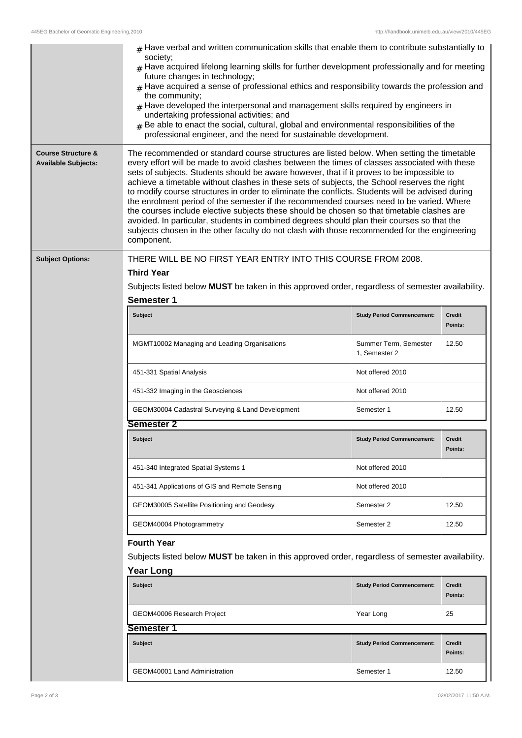|                                                             | $_{\rm H}$ Have verbal and written communication skills that enable them to contribute substantially to<br>society:<br>$#$ Have acquired lifelong learning skills for further development professionally and for meeting<br>future changes in technology;<br>$#$ Have acquired a sense of professional ethics and responsibility towards the profession and<br>the community;<br>$#$ Have developed the interpersonal and management skills required by engineers in<br>undertaking professional activities; and<br>$#$ Be able to enact the social, cultural, global and environmental responsibilities of the<br>professional engineer, and the need for sustainable development.                                                                                                                                                                                                                |                                        |                          |  |
|-------------------------------------------------------------|----------------------------------------------------------------------------------------------------------------------------------------------------------------------------------------------------------------------------------------------------------------------------------------------------------------------------------------------------------------------------------------------------------------------------------------------------------------------------------------------------------------------------------------------------------------------------------------------------------------------------------------------------------------------------------------------------------------------------------------------------------------------------------------------------------------------------------------------------------------------------------------------------|----------------------------------------|--------------------------|--|
| <b>Course Structure &amp;</b><br><b>Available Subjects:</b> | The recommended or standard course structures are listed below. When setting the timetable<br>every effort will be made to avoid clashes between the times of classes associated with these<br>sets of subjects. Students should be aware however, that if it proves to be impossible to<br>achieve a timetable without clashes in these sets of subjects, the School reserves the right<br>to modify course structures in order to eliminate the conflicts. Students will be advised during<br>the enrolment period of the semester if the recommended courses need to be varied. Where<br>the courses include elective subjects these should be chosen so that timetable clashes are<br>avoided. In particular, students in combined degrees should plan their courses so that the<br>subjects chosen in the other faculty do not clash with those recommended for the engineering<br>component. |                                        |                          |  |
| <b>Subject Options:</b>                                     | THERE WILL BE NO FIRST YEAR ENTRY INTO THIS COURSE FROM 2008.                                                                                                                                                                                                                                                                                                                                                                                                                                                                                                                                                                                                                                                                                                                                                                                                                                      |                                        |                          |  |
|                                                             | <b>Third Year</b>                                                                                                                                                                                                                                                                                                                                                                                                                                                                                                                                                                                                                                                                                                                                                                                                                                                                                  |                                        |                          |  |
|                                                             | Subjects listed below MUST be taken in this approved order, regardless of semester availability.                                                                                                                                                                                                                                                                                                                                                                                                                                                                                                                                                                                                                                                                                                                                                                                                   |                                        |                          |  |
|                                                             | <b>Semester 1</b>                                                                                                                                                                                                                                                                                                                                                                                                                                                                                                                                                                                                                                                                                                                                                                                                                                                                                  |                                        |                          |  |
|                                                             | <b>Subject</b>                                                                                                                                                                                                                                                                                                                                                                                                                                                                                                                                                                                                                                                                                                                                                                                                                                                                                     | <b>Study Period Commencement:</b>      | <b>Credit</b><br>Points: |  |
|                                                             | MGMT10002 Managing and Leading Organisations                                                                                                                                                                                                                                                                                                                                                                                                                                                                                                                                                                                                                                                                                                                                                                                                                                                       | Summer Term, Semester<br>1, Semester 2 | 12.50                    |  |
|                                                             | 451-331 Spatial Analysis                                                                                                                                                                                                                                                                                                                                                                                                                                                                                                                                                                                                                                                                                                                                                                                                                                                                           | Not offered 2010                       |                          |  |
|                                                             | 451-332 Imaging in the Geosciences                                                                                                                                                                                                                                                                                                                                                                                                                                                                                                                                                                                                                                                                                                                                                                                                                                                                 | Not offered 2010                       |                          |  |
|                                                             | GEOM30004 Cadastral Surveying & Land Development                                                                                                                                                                                                                                                                                                                                                                                                                                                                                                                                                                                                                                                                                                                                                                                                                                                   | Semester 1                             | 12.50                    |  |
|                                                             | Semester 2                                                                                                                                                                                                                                                                                                                                                                                                                                                                                                                                                                                                                                                                                                                                                                                                                                                                                         |                                        |                          |  |
|                                                             | <b>Subject</b>                                                                                                                                                                                                                                                                                                                                                                                                                                                                                                                                                                                                                                                                                                                                                                                                                                                                                     | <b>Study Period Commencement:</b>      | <b>Credit</b><br>Points: |  |
|                                                             | 451-340 Integrated Spatial Systems 1                                                                                                                                                                                                                                                                                                                                                                                                                                                                                                                                                                                                                                                                                                                                                                                                                                                               | Not offered 2010                       |                          |  |
|                                                             | 451-341 Applications of GIS and Remote Sensing                                                                                                                                                                                                                                                                                                                                                                                                                                                                                                                                                                                                                                                                                                                                                                                                                                                     | Not offered 2010                       |                          |  |
|                                                             | GEOM30005 Satellite Positioning and Geodesy                                                                                                                                                                                                                                                                                                                                                                                                                                                                                                                                                                                                                                                                                                                                                                                                                                                        | Semester 2                             | 12.50                    |  |
|                                                             | GEOM40004 Photogrammetry                                                                                                                                                                                                                                                                                                                                                                                                                                                                                                                                                                                                                                                                                                                                                                                                                                                                           | Semester 2                             | 12.50                    |  |
|                                                             | <b>Fourth Year</b><br>Subjects listed below MUST be taken in this approved order, regardless of semester availability.<br><b>Year Long</b>                                                                                                                                                                                                                                                                                                                                                                                                                                                                                                                                                                                                                                                                                                                                                         |                                        |                          |  |
|                                                             | <b>Subject</b>                                                                                                                                                                                                                                                                                                                                                                                                                                                                                                                                                                                                                                                                                                                                                                                                                                                                                     | <b>Study Period Commencement:</b>      | <b>Credit</b><br>Points: |  |
|                                                             | GEOM40006 Research Project                                                                                                                                                                                                                                                                                                                                                                                                                                                                                                                                                                                                                                                                                                                                                                                                                                                                         | Year Long                              | 25                       |  |
|                                                             | <b>Semester 1</b>                                                                                                                                                                                                                                                                                                                                                                                                                                                                                                                                                                                                                                                                                                                                                                                                                                                                                  |                                        |                          |  |
|                                                             | <b>Subject</b>                                                                                                                                                                                                                                                                                                                                                                                                                                                                                                                                                                                                                                                                                                                                                                                                                                                                                     | <b>Study Period Commencement:</b>      | <b>Credit</b><br>Points: |  |
|                                                             | GEOM40001 Land Administration                                                                                                                                                                                                                                                                                                                                                                                                                                                                                                                                                                                                                                                                                                                                                                                                                                                                      | Semester 1                             | 12.50                    |  |